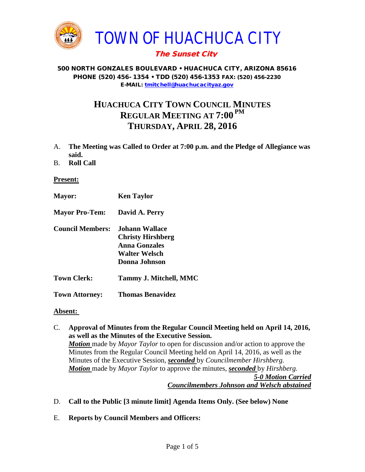

## The Sunset City

#### 500 NORTH GONZALES BOULEVARD • HUACHUCA CITY, ARIZONA 85616 PHONE (520) 456- 1354 • TDD (520) 456-1353 FAX: (520) 456-2230 E-MAIL: [tmitchell@huachucacityaz.gov](mailto:tmitchell@huachucacityaz.gov)

# **HUACHUCA CITY TOWN COUNCIL MINUTES REGULAR MEETING AT 7:00 PM THURSDAY, APRIL 28, 2016**

- A. **The Meeting was Called to Order at 7:00 p.m. and the Pledge of Allegiance was said.**
- B. **Roll Call**

#### **Present:**

**Mayor: Ken Taylor Mayor Pro-Tem: David A. Perry Council Members: Johann Wallace Christy Hirshberg Anna Gonzales Walter Welsch Donna Johnson Town Clerk: Tammy J. Mitchell, MMC Town Attorney: Thomas Benavidez**

#### **Absent:**

- C. **Approval of Minutes from the Regular Council Meeting held on April 14, 2016, as well as the Minutes of the Executive Session.** *Motion* made by *Mayor Taylor* to open for discussion and/or action to approve the Minutes from the Regular Council Meeting held on April 14, 2016, as well as the Minutes of the Executive Session, *seconded* by *Councilmember Hirshberg. Motion* made by *Mayor Taylor* to approve the minutes, *seconded* by *Hirshberg. 5-0 Motion Carried Councilmembers Johnson and Welsch abstained*
- D. **Call to the Public [3 minute limit] Agenda Items Only. (See below) None**
- E. **Reports by Council Members and Officers:**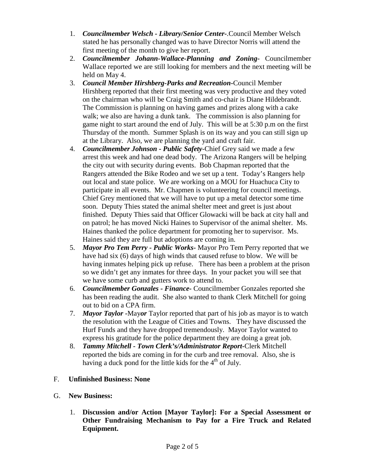- 1. *Councilmember Welsch - Library/Senior Center***-**.Council Member Welsch stated he has personally changed was to have Director Norris will attend the first meeting of the month to give her report.
- 2. *Councilmember Johann-Wallace-Planning and Zoning***-** Councilmember Wallace reported we are still looking for members and the next meeting will be held on May 4.
- 3. *Council Member Hirshberg-Parks and Recreation***-**Council Member Hirshberg reported that their first meeting was very productive and they voted on the chairman who will be Craig Smith and co-chair is Diane Hildebrandt. The Commission is planning on having games and prizes along with a cake walk; we also are having a dunk tank. The commission is also planning for game night to start around the end of July. This will be at 5:30 p.m on the first Thursday of the month. Summer Splash is on its way and you can still sign up at the Library. Also, we are planning the yard and craft fair.
- 4. *Councilmember Johnson - Public Safety-*Chief Grey said we made a few arrest this week and had one dead body. The Arizona Rangers will be helping the city out with security during events. Bob Chapman reported that the Rangers attended the Bike Rodeo and we set up a tent. Today's Rangers help out local and state police. We are working on a MOU for Huachuca City to participate in all events. Mr. Chapmen is volunteering for council meetings. Chief Grey mentioned that we will have to put up a metal detector some time soon. Deputy Thies stated the animal shelter meet and greet is just about finished. Deputy Thies said that Officer Glowacki will be back at city hall and on patrol; he has moved Nicki Haines to Supervisor of the animal shelter. Ms. Haines thanked the police department for promoting her to supervisor. Ms. Haines said they are full but adoptions are coming in.
- 5. *Mayor Pro Tem Perry - Public Works-* Mayor Pro Tem Perry reported that we have had six (6) days of high winds that caused refuse to blow. We will be having inmates helping pick up refuse. There has been a problem at the prison so we didn't get any inmates for three days. In your packet you will see that we have some curb and gutters work to attend to.
- 6. *Councilmember Gonzales - Finance-* Councilmember Gonzales reported she has been reading the audit. She also wanted to thank Clerk Mitchell for going out to bid on a CPA firm.
- 7. *Mayor Taylor -*May*or* Taylor reported that part of his job as mayor is to watch the resolution with the League of Cities and Towns. They have discussed the Hurf Funds and they have dropped tremendously. Mayor Taylor wanted to express his gratitude for the police department they are doing a great job.
- 8. *Tammy Mitchell - Town Clerk's/Administrator Report-*Clerk Mitchell reported the bids are coming in for the curb and tree removal. Also, she is having a duck pond for the little kids for the  $4<sup>th</sup>$  of July.
- F. **Unfinished Business: None**
- G. **New Business:** 
	- 1. **Discussion and/or Action [Mayor Taylor]: For a Special Assessment or Other Fundraising Mechanism to Pay for a Fire Truck and Related Equipment.**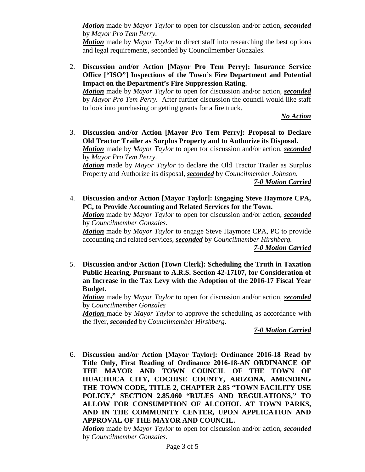*Motion* made by *Mayor Taylor* to open for discussion and/or action, *seconded* by *Mayor Pro Tem Perry.*

*Motion* made by *Mayor Taylor* to direct staff into researching the best options and legal requirements, seconded by Councilmember Gonzales.

2. **Discussion and/or Action [Mayor Pro Tem Perry]: Insurance Service Office ["ISO"] Inspections of the Town's Fire Department and Potential Impact on the Department's Fire Suppression Rating.** *Motion* made by *Mayor Taylor* to open for discussion and/or action, *seconded*

by *Mayor Pro Tem Perry.* After further discussion the council would like staff to look into purchasing or getting grants for a fire truck.

*No Action*

3. **Discussion and/or Action [Mayor Pro Tem Perry]: Proposal to Declare Old Tractor Trailer as Surplus Property and to Authorize its Disposal.** *Motion* made by *Mayor Taylor* to open for discussion and/or action, *seconded* by *Mayor Pro Tem Perry. Motion* made by *Mayor Taylor* to declare the Old Tractor Trailer as Surplus

Property and Authorize its disposal, *seconded* by *Councilmember Johnson. 7-0 Motion Carried*

4. **Discussion and/or Action [Mayor Taylor]: Engaging Steve Haymore CPA, PC, to Provide Accounting and Related Services for the Town.**

*Motion* made by *Mayor Taylor* to open for discussion and/or action, *seconded* by *Councilmember Gonzales.*

*Motion* made by *Mayor Taylor* to engage Steve Haymore CPA, PC to provide accounting and related services, *seconded* by *Councilmember Hirshberg.*

*7-0 Motion Carried*

5. **Discussion and/or Action [Town Clerk]: Scheduling the Truth in Taxation Public Hearing, Pursuant to A.R.S. Section 42-17107, for Consideration of an Increase in the Tax Levy with the Adoption of the 2016-17 Fiscal Year Budget.**

*Motion* made by *Mayor Taylor* to open for discussion and/or action, *seconded* by *Councilmember Gonzales*

*Motion* made by *Mayor Taylor* to approve the scheduling as accordance with the flyer, *seconded* by *Councilmember Hirshberg.*

*7-0 Motion Carried*

6. **Discussion and/or Action [Mayor Taylor]: Ordinance 2016-18 Read by Title Only, First Reading of Ordinance 2016-18-AN ORDINANCE OF THE MAYOR AND TOWN COUNCIL OF THE TOWN OF HUACHUCA CITY, COCHISE COUNTY, ARIZONA, AMENDING THE TOWN CODE, TITLE 2, CHAPTER 2.85 "TOWN FACILITY USE POLICY," SECTION 2.85.060 "RULES AND REGULATIONS," TO ALLOW FOR CONSUMPTION OF ALCOHOL AT TOWN PARKS, AND IN THE COMMUNITY CENTER, UPON APPLICATION AND APPROVAL OF THE MAYOR AND COUNCIL.**

*Motion* made by *Mayor Taylor* to open for discussion and/or action, *seconded* by *Councilmember Gonzales.*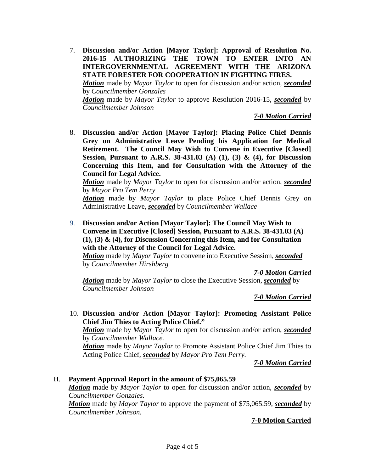7. **Discussion and/or Action [Mayor Taylor]: Approval of Resolution No. 2016-15 AUTHORIZING THE TOWN TO ENTER INTO AN INTERGOVERNMENTAL AGREEMENT WITH THE ARIZONA STATE FORESTER FOR COOPERATION IN FIGHTING FIRES.** *Motion* made by *Mayor Taylor* to open for discussion and/or action, *seconded* by *Councilmember Gonzales Motion* made by *Mayor Taylor* to approve Resolution 2016-15, *seconded* by *Councilmember Johnson*

*7-0 Motion Carried*

8. **Discussion and/or Action [Mayor Taylor]: Placing Police Chief Dennis Grey on Administrative Leave Pending his Application for Medical Retirement. The Council May Wish to Convene in Executive [Closed] Session, Pursuant to A.R.S. 38-431.03 (A) (1), (3) & (4), for Discussion Concerning this Item, and for Consultation with the Attorney of the Council for Legal Advice.** 

*Motion* made by *Mayor Taylor* to open for discussion and/or action, *seconded* by *Mayor Pro Tem Perry*

*Motion* made by *Mayor Taylor* to place Police Chief Dennis Grey on Administrative Leave, *seconded* by *Councilmember Wallace*

9. **Discussion and/or Action [Mayor Taylor]: The Council May Wish to Convene in Executive [Closed] Session, Pursuant to A.R.S. 38-431.03 (A) (1), (3) & (4), for Discussion Concerning this Item, and for Consultation with the Attorney of the Council for Legal Advice.**

*Motion* made by *Mayor Taylor* to convene into Executive Session, *seconded* by *Councilmember Hirshberg*

*7-0 Motion Carried*

*Motion* made by *Mayor Taylor* to close the Executive Session, *seconded* by *Councilmember Johnson*

*7-0 Motion Carried*

10. **Discussion and/or Action [Mayor Taylor]: Promoting Assistant Police Chief Jim Thies to Acting Police Chief."** *Motion* made by *Mayor Taylor* to open for discussion and/or action, *seconded* by *Councilmember Wallace. Motion* made by *Mayor Taylor* to Promote Assistant Police Chief Jim Thies to

Acting Police Chief, *seconded* by *Mayor Pro Tem Perry.*

*7-0 Motion Carried*

### H. **Payment Approval Report in the amount of \$75,065.59**

*Motion* made by *Mayor Taylor* to open for discussion and/or action, *seconded* by *Councilmember Gonzales.*

*Motion* made by *Mayor Taylor* to approve the payment of \$75,065.59, *seconded* by *Councilmember Johnson.*

#### **7-0 Motion Carried**